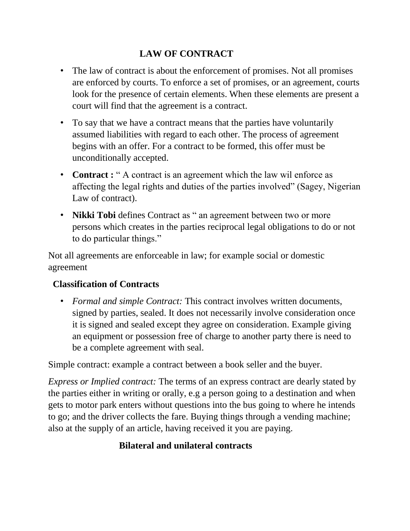#### **LAW OF CONTRACT**

- The law of contract is about the enforcement of promises. Not all promises are enforced by courts. To enforce a set of promises, or an agreement, courts look for the presence of certain elements. When these elements are present a court will find that the agreement is a contract.
- To say that we have a contract means that the parties have voluntarily assumed liabilities with regard to each other. The process of agreement begins with an offer. For a contract to be formed, this offer must be unconditionally accepted.
- **Contract :** " A contract is an agreement which the law wil enforce as affecting the legal rights and duties of the parties involved" (Sagey, Nigerian Law of contract).
- **Nikki Tobi** defines Contract as " an agreement between two or more persons which creates in the parties reciprocal legal obligations to do or not to do particular things."

Not all agreements are enforceable in law; for example social or domestic agreement

#### **Classification of Contracts**

• *Formal and simple Contract:* This contract involves written documents, signed by parties, sealed. It does not necessarily involve consideration once it is signed and sealed except they agree on consideration. Example giving an equipment or possession free of charge to another party there is need to be a complete agreement with seal.

Simple contract: example a contract between a book seller and the buyer.

*Express or Implied contract:* The terms of an express contract are dearly stated by the parties either in writing or orally, e.g a person going to a destination and when gets to motor park enters without questions into the bus going to where he intends to go; and the driver collects the fare. Buying things through a vending machine; also at the supply of an article, having received it you are paying.

## **Bilateral and unilateral contracts**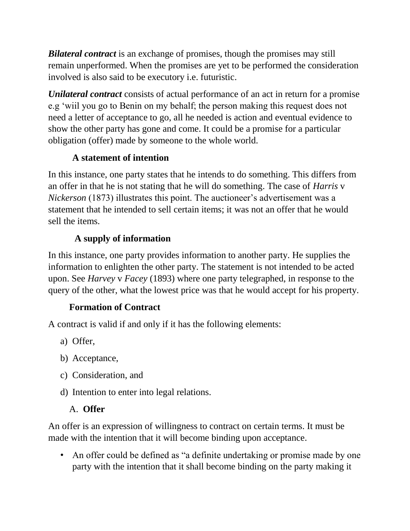*Bilateral contract* is an exchange of promises, though the promises may still remain unperformed. When the promises are yet to be performed the consideration involved is also said to be executory i.e. futuristic.

*Unilateral contract* consists of actual performance of an act in return for a promise e.g "wiil you go to Benin on my behalf; the person making this request does not need a letter of acceptance to go, all he needed is action and eventual evidence to show the other party has gone and come. It could be a promise for a particular obligation (offer) made by someone to the whole world.

## **A statement of intention**

In this instance, one party states that he intends to do something. This differs from an offer in that he is not stating that he will do something. The case of *Harris* v *Nickerson* (1873) illustrates this point. The auctioneer's advertisement was a statement that he intended to sell certain items; it was not an offer that he would sell the items.

# **A supply of information**

In this instance, one party provides information to another party. He supplies the information to enlighten the other party. The statement is not intended to be acted upon. See *Harvey* v *Facey* (1893) where one party telegraphed, in response to the query of the other, what the lowest price was that he would accept for his property.

# **Formation of Contract**

A contract is valid if and only if it has the following elements:

- a) Offer,
- b) Acceptance,
- c) Consideration, and
- d) Intention to enter into legal relations.

# A. **Offer**

An offer is an expression of willingness to contract on certain terms. It must be made with the intention that it will become binding upon acceptance.

• An offer could be defined as "a definite undertaking or promise made by one party with the intention that it shall become binding on the party making it